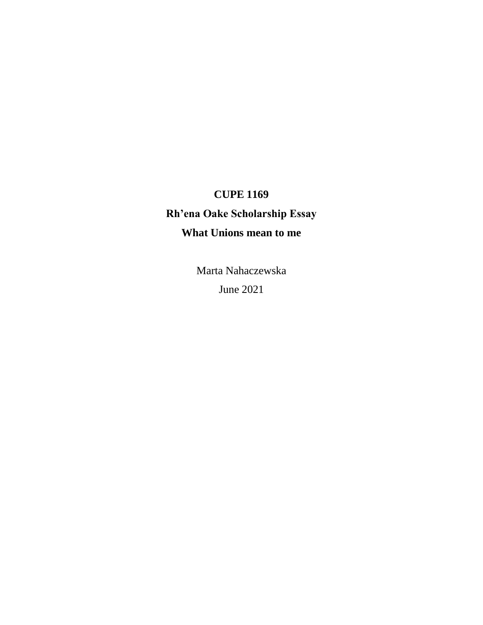## **CUPE 1169**

## **Rh'ena Oake Scholarship Essay What Unions mean to me**

Marta Nahaczewska June 2021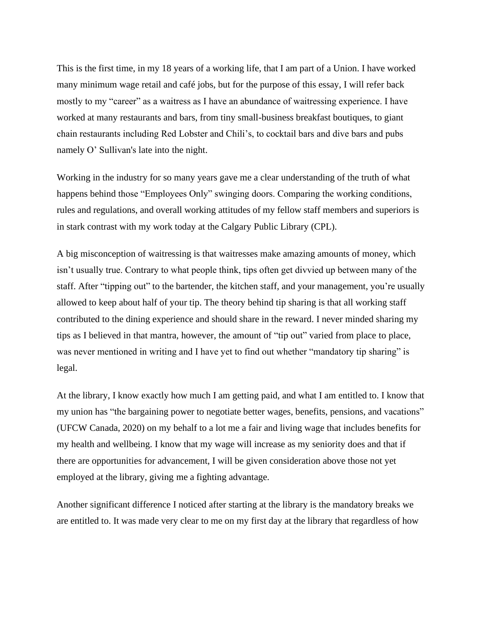This is the first time, in my 18 years of a working life, that I am part of a Union. I have worked many minimum wage retail and café jobs, but for the purpose of this essay, I will refer back mostly to my "career" as a waitress as I have an abundance of waitressing experience. I have worked at many restaurants and bars, from tiny small-business breakfast boutiques, to giant chain restaurants including Red Lobster and Chili's, to cocktail bars and dive bars and pubs namely O' Sullivan's late into the night.

Working in the industry for so many years gave me a clear understanding of the truth of what happens behind those "Employees Only" swinging doors. Comparing the working conditions, rules and regulations, and overall working attitudes of my fellow staff members and superiors is in stark contrast with my work today at the Calgary Public Library (CPL).

A big misconception of waitressing is that waitresses make amazing amounts of money, which isn't usually true. Contrary to what people think, tips often get divvied up between many of the staff. After "tipping out" to the bartender, the kitchen staff, and your management, you're usually allowed to keep about half of your tip. The theory behind tip sharing is that all working staff contributed to the dining experience and should share in the reward. I never minded sharing my tips as I believed in that mantra, however, the amount of "tip out" varied from place to place, was never mentioned in writing and I have yet to find out whether "mandatory tip sharing" is legal.

At the library, I know exactly how much I am getting paid, and what I am entitled to. I know that my union has "the bargaining power to negotiate better wages, benefits, pensions, and vacations" (UFCW Canada, 2020) on my behalf to a lot me a fair and living wage that includes benefits for my health and wellbeing. I know that my wage will increase as my seniority does and that if there are opportunities for advancement, I will be given consideration above those not yet employed at the library, giving me a fighting advantage.

Another significant difference I noticed after starting at the library is the mandatory breaks we are entitled to. It was made very clear to me on my first day at the library that regardless of how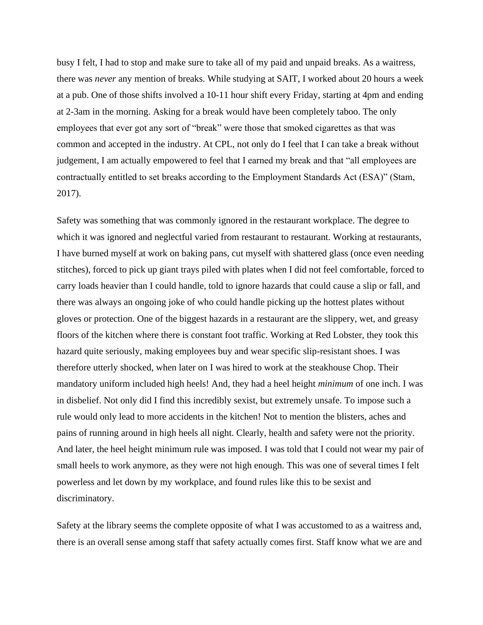busy I felt, I had to stop and make sure to take all of my paid and unpaid breaks. As a waitress, there was *never* any mention of breaks. While studying at SAIT, I worked about 20 hours a week at a pub. One of those shifts involved a 10-11 hour shift every Friday, starting at 4pm and ending at 2-3am in the morning. Asking for a break would have been completely taboo. The only employees that ever got any sort of "break" were those that smoked cigarettes as that was common and accepted in the industry. At CPL, not only do I feel that I can take a break without judgement, I am actually empowered to feel that I earned my break and that "all employees are contractually entitled to set breaks according to the Employment Standards Act (ESA)" (Stam, 2017).

Safety was something that was commonly ignored in the restaurant workplace. The degree to which it was ignored and neglectful varied from restaurant to restaurant. Working at restaurants, I have burned myself at work on baking pans, cut myself with shattered glass (once even needing stitches), forced to pick up giant trays piled with plates when I did not feel comfortable, forced to carry loads heavier than I could handle, told to ignore hazards that could cause a slip or fall, and there was always an ongoing joke of who could handle picking up the hottest plates without gloves or protection. One of the biggest hazards in a restaurant are the slippery, wet, and greasy floors of the kitchen where there is constant foot traffic. Working at Red Lobster, they took this hazard quite seriously, making employees buy and wear specific slip-resistant shoes. I was therefore utterly shocked, when later on I was hired to work at the steakhouse Chop. Their mandatory uniform included high heels! And, they had a heel height *minimum* of one inch. I was in disbelief. Not only did I find this incredibly sexist, but extremely unsafe. To impose such a rule would only lead to more accidents in the kitchen! Not to mention the blisters, aches and pains of running around in high heels all night. Clearly, health and safety were not the priority. And later, the heel height minimum rule was imposed. I was told that I could not wear my pair of small heels to work anymore, as they were not high enough. This was one of several times I felt powerless and let down by my workplace, and found rules like this to be sexist and discriminatory.

Safety at the library seems the complete opposite of what I was accustomed to as a waitress and, there is an overall sense among staff that safety actually comes first. Staff know what we are and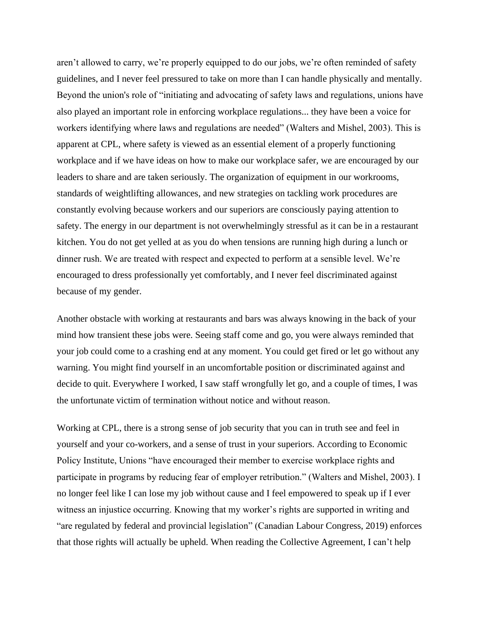aren't allowed to carry, we're properly equipped to do our jobs, we're often reminded of safety guidelines, and I never feel pressured to take on more than I can handle physically and mentally. Beyond the union's role of "initiating and advocating of safety laws and regulations, unions have also played an important role in enforcing workplace regulations... they have been a voice for workers identifying where laws and regulations are needed" (Walters and Mishel, 2003). This is apparent at CPL, where safety is viewed as an essential element of a properly functioning workplace and if we have ideas on how to make our workplace safer, we are encouraged by our leaders to share and are taken seriously. The organization of equipment in our workrooms, standards of weightlifting allowances, and new strategies on tackling work procedures are constantly evolving because workers and our superiors are consciously paying attention to safety. The energy in our department is not overwhelmingly stressful as it can be in a restaurant kitchen. You do not get yelled at as you do when tensions are running high during a lunch or dinner rush. We are treated with respect and expected to perform at a sensible level. We're encouraged to dress professionally yet comfortably, and I never feel discriminated against because of my gender.

Another obstacle with working at restaurants and bars was always knowing in the back of your mind how transient these jobs were. Seeing staff come and go, you were always reminded that your job could come to a crashing end at any moment. You could get fired or let go without any warning. You might find yourself in an uncomfortable position or discriminated against and decide to quit. Everywhere I worked, I saw staff wrongfully let go, and a couple of times, I was the unfortunate victim of termination without notice and without reason.

Working at CPL, there is a strong sense of job security that you can in truth see and feel in yourself and your co-workers, and a sense of trust in your superiors. According to Economic Policy Institute, Unions "have encouraged their member to exercise workplace rights and participate in programs by reducing fear of employer retribution." (Walters and Mishel, 2003). I no longer feel like I can lose my job without cause and I feel empowered to speak up if I ever witness an injustice occurring. Knowing that my worker's rights are supported in writing and "are regulated by federal and provincial legislation" (Canadian Labour Congress, 2019) enforces that those rights will actually be upheld. When reading the Collective Agreement, I can't help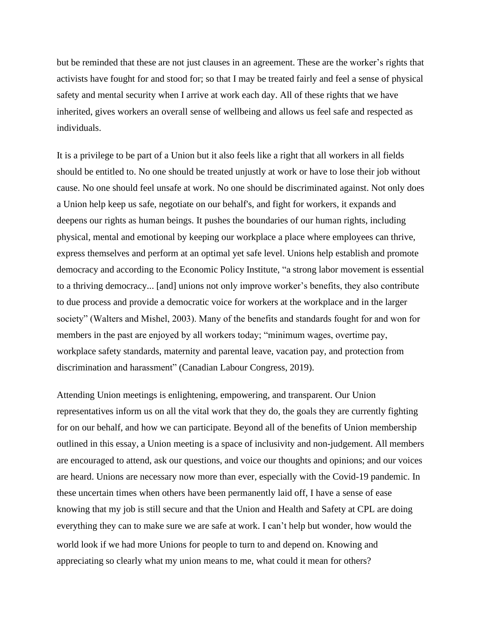but be reminded that these are not just clauses in an agreement. These are the worker's rights that activists have fought for and stood for; so that I may be treated fairly and feel a sense of physical safety and mental security when I arrive at work each day. All of these rights that we have inherited, gives workers an overall sense of wellbeing and allows us feel safe and respected as individuals.

It is a privilege to be part of a Union but it also feels like a right that all workers in all fields should be entitled to. No one should be treated unjustly at work or have to lose their job without cause. No one should feel unsafe at work. No one should be discriminated against. Not only does a Union help keep us safe, negotiate on our behalf's, and fight for workers, it expands and deepens our rights as human beings. It pushes the boundaries of our human rights, including physical, mental and emotional by keeping our workplace a place where employees can thrive, express themselves and perform at an optimal yet safe level. Unions help establish and promote democracy and according to the Economic Policy Institute, "a strong labor movement is essential to a thriving democracy... [and] unions not only improve worker's benefits, they also contribute to due process and provide a democratic voice for workers at the workplace and in the larger society" (Walters and Mishel, 2003). Many of the benefits and standards fought for and won for members in the past are enjoyed by all workers today; "minimum wages, overtime pay, workplace safety standards, maternity and parental leave, vacation pay, and protection from discrimination and harassment" (Canadian Labour Congress, 2019).

Attending Union meetings is enlightening, empowering, and transparent. Our Union representatives inform us on all the vital work that they do, the goals they are currently fighting for on our behalf, and how we can participate. Beyond all of the benefits of Union membership outlined in this essay, a Union meeting is a space of inclusivity and non-judgement. All members are encouraged to attend, ask our questions, and voice our thoughts and opinions; and our voices are heard. Unions are necessary now more than ever, especially with the Covid-19 pandemic. In these uncertain times when others have been permanently laid off, I have a sense of ease knowing that my job is still secure and that the Union and Health and Safety at CPL are doing everything they can to make sure we are safe at work. I can't help but wonder, how would the world look if we had more Unions for people to turn to and depend on. Knowing and appreciating so clearly what my union means to me, what could it mean for others?